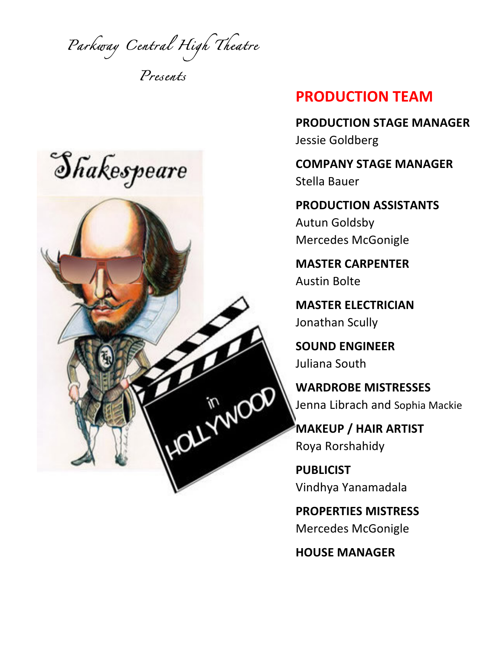*Parkway Central High Theatre* 

*Presents* 



## **PRODUCTION TEAM**

**PRODUCTION STAGE MANAGER** Jessie Goldberg

**COMPANY STAGE MANAGER** Stella Bauer

**PRODUCTION ASSISTANTS Autun Goldsby** Mercedes McGonigle

**MASTER CARPENTER** Austin Bolte

**MASTER ELECTRICIAN** Jonathan Scully

**SOUND ENGINEER** Juliana South

**WARDROBE MISTRESSES** Jenna Librach and Sophia Mackie

**MAKEUP / HAIR ARTIST** Roya Rorshahidy

**PUBLICIST** Vindhya Yanamadala

**PROPERTIES MISTRESS** Mercedes McGonigle

**HOUSE MANAGER**